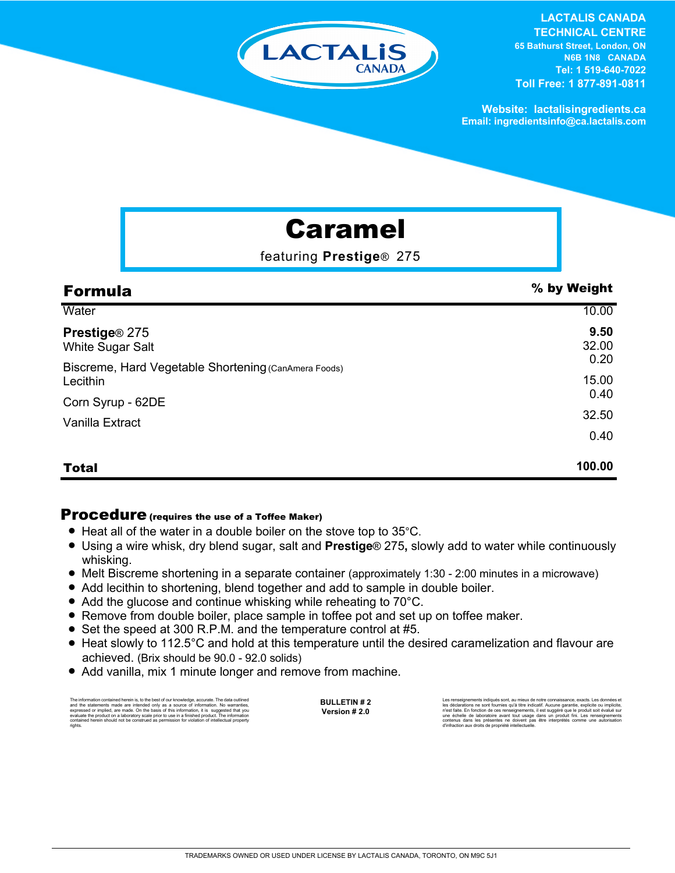

#### **LACTALIS CANADA TECHNICAL CENTRE 65 Bathurst Street, London, ON N6B 1N8 CANADA Tel: 1 519-640-7022 Toll Free: 1 877-891-0811**

**Website: lactalisingredients.ca Email: ingredientsinfo@ca.lactalis.com**

# Caramel

featuring **Prestige**® 275

| <b>Formula</b>                                                                                                                                            | % by Weight           |
|-----------------------------------------------------------------------------------------------------------------------------------------------------------|-----------------------|
| Water                                                                                                                                                     | 10.00                 |
| Prestige <sup>®</sup> 275<br>White Sugar Salt<br>Biscreme, Hard Vegetable Shortening (CanAmera Foods)<br>Lecithin<br>Corn Syrup - 62DE<br>Vanilla Extract | 9.50<br>32.00         |
|                                                                                                                                                           | 0.20<br>15.00<br>0.40 |
|                                                                                                                                                           | 32.50                 |
|                                                                                                                                                           | 0.40                  |
| <b>Total</b>                                                                                                                                              | 100.00                |

### Procedure (requires the use of a Toffee Maker)

- Heat all of the water in a double boiler on the stove top to 35°C.
- = Using a wire whisk, dry blend sugar, salt and **Prestige**® 275**,** slowly add to water while continuously whisking.
- = Melt Biscreme shortening in a separate container (approximately 1:30 2:00 minutes in a microwave)
- Add lecithin to shortening, blend together and add to sample in double boiler.
- Add the glucose and continue whisking while reheating to 70°C.
- Remove from double boiler, place sample in toffee pot and set up on toffee maker.
- Set the speed at 300 R.P.M. and the temperature control at #5.
- Heat slowly to 112.5°C and hold at this temperature until the desired caramelization and flavour are achieved. (Brix should be 90.0 - 92.0 solids)
- Add vanilla, mix 1 minute longer and remove from machine.

The information contained herein is, to the best of our knowledge, accurate. The data cuttined<br>and the statements made are intended only as a assurce of information. No warranties,<br>expressed or implied, are made. On the ba rights.

**BULLETIN # 2 Version # 2.0**

Les rensejonements indiqués sont, au mieux de notre connaissance, exacts. Les données et<br>les déclarations ne sont fournies qu'à titre indicatif. Aucune garantie, explicite ou implicite,<br>riest faite. En fonction de ces rens

TRADEMARKS OWNED OR USED UNDER LICENSE BY LACTALIS CANADA, TORONTO, ON M9C 5J1